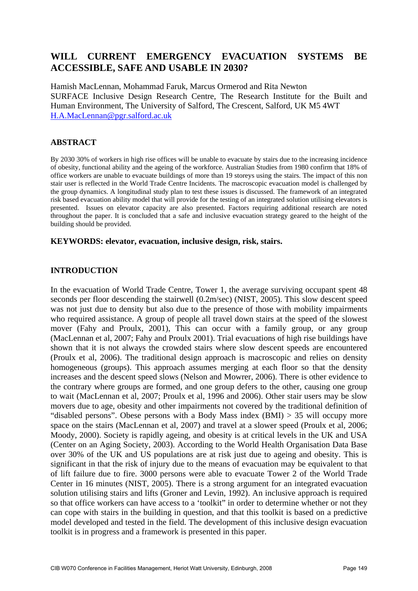# **WILL CURRENT EMERGENCY EVACUATION SYSTEMS BE ACCESSIBLE, SAFE AND USABLE IN 2030?**

Hamish MacLennan, Mohammad Faruk, Marcus Ormerod and Rita Newton SURFACE Inclusive Design Research Centre, The Research Institute for the Built and Human Environment, The University of Salford, The Crescent, Salford, UK M5 4WT H.A.MacLennan@pgr.salford.ac.uk

### **ABSTRACT**

By 2030 30% of workers in high rise offices will be unable to evacuate by stairs due to the increasing incidence of obesity, functional ability and the ageing of the workforce. Australian Studies from 1980 confirm that 18% of office workers are unable to evacuate buildings of more than 19 storeys using the stairs. The impact of this non stair user is reflected in the World Trade Centre Incidents. The macroscopic evacuation model is challenged by the group dynamics. A longitudinal study plan to test these issues is discussed. The framework of an integrated risk based evacuation ability model that will provide for the testing of an integrated solution utilising elevators is presented. Issues on elevator capacity are also presented. Factors requiring additional research are noted throughout the paper. It is concluded that a safe and inclusive evacuation strategy geared to the height of the building should be provided.

#### **KEYWORDS: elevator, evacuation, inclusive design, risk, stairs.**

### **INTRODUCTION**

In the evacuation of World Trade Centre, Tower 1, the average surviving occupant spent 48 seconds per floor descending the stairwell (0.2m/sec) (NIST, 2005). This slow descent speed was not just due to density but also due to the presence of those with mobility impairments who required assistance. A group of people all travel down stairs at the speed of the slowest mover (Fahy and Proulx, 2001), This can occur with a family group, or any group (MacLennan et al, 2007; Fahy and Proulx 2001). Trial evacuations of high rise buildings have shown that it is not always the crowded stairs where slow descent speeds are encountered (Proulx et al, 2006). The traditional design approach is macroscopic and relies on density homogeneous (groups). This approach assumes merging at each floor so that the density increases and the descent speed slows (Nelson and Mowrer, 2006). There is other evidence to the contrary where groups are formed, and one group defers to the other, causing one group to wait (MacLennan et al, 2007; Proulx et al, 1996 and 2006). Other stair users may be slow movers due to age, obesity and other impairments not covered by the traditional definition of "disabled persons". Obese persons with a Body Mass index  $(BMI) > 35$  will occupy more space on the stairs (MacLennan et al, 2007) and travel at a slower speed (Proulx et al, 2006; Moody, 2000). Society is rapidly ageing, and obesity is at critical levels in the UK and USA (Center on an Aging Society, 2003). According to the World Health Organisation Data Base over 30% of the UK and US populations are at risk just due to ageing and obesity. This is significant in that the risk of injury due to the means of evacuation may be equivalent to that of lift failure due to fire. 3000 persons were able to evacuate Tower 2 of the World Trade Center in 16 minutes (NIST, 2005). There is a strong argument for an integrated evacuation solution utilising stairs and lifts (Groner and Levin, 1992). An inclusive approach is required so that office workers can have access to a 'toolkit" in order to determine whether or not they can cope with stairs in the building in question, and that this toolkit is based on a predictive model developed and tested in the field. The development of this inclusive design evacuation toolkit is in progress and a framework is presented in this paper.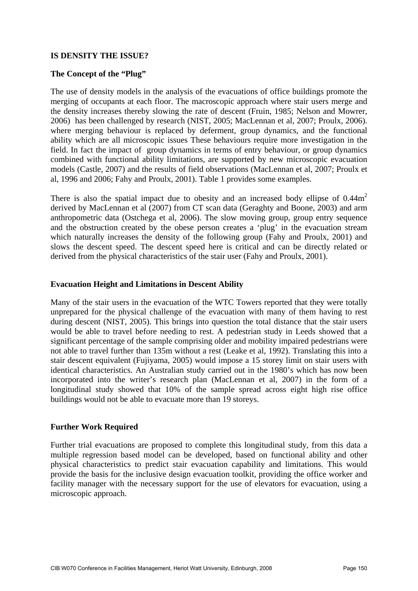### **IS DENSITY THE ISSUE?**

### **The Concept of the "Plug"**

The use of density models in the analysis of the evacuations of office buildings promote the merging of occupants at each floor. The macroscopic approach where stair users merge and the density increases thereby slowing the rate of descent (Fruin, 1985; Nelson and Mowrer, 2006) has been challenged by research (NIST, 2005; MacLennan et al, 2007; Proulx, 2006). where merging behaviour is replaced by deferment, group dynamics, and the functional ability which are all microscopic issues These behaviours require more investigation in the field. In fact the impact of group dynamics in terms of entry behaviour, or group dynamics combined with functional ability limitations, are supported by new microscopic evacuation models (Castle, 2007) and the results of field observations (MacLennan et al, 2007; Proulx et al, 1996 and 2006; Fahy and Proulx, 2001). Table 1 provides some examples.

There is also the spatial impact due to obesity and an increased body ellipse of  $0.44\text{m}^2$ derived by MacLennan et al (2007) from CT scan data (Geraghty and Boone, 2003) and arm anthropometric data (Ostchega et al, 2006). The slow moving group, group entry sequence and the obstruction created by the obese person creates a 'plug' in the evacuation stream which naturally increases the density of the following group (Fahy and Proulx, 2001) and slows the descent speed. The descent speed here is critical and can be directly related or derived from the physical characteristics of the stair user (Fahy and Proulx, 2001).

### **Evacuation Height and Limitations in Descent Ability**

Many of the stair users in the evacuation of the WTC Towers reported that they were totally unprepared for the physical challenge of the evacuation with many of them having to rest during descent (NIST, 2005). This brings into question the total distance that the stair users would be able to travel before needing to rest. A pedestrian study in Leeds showed that a significant percentage of the sample comprising older and mobility impaired pedestrians were not able to travel further than 135m without a rest (Leake et al, 1992). Translating this into a stair descent equivalent (Fujiyama, 2005) would impose a 15 storey limit on stair users with identical characteristics. An Australian study carried out in the 1980's which has now been incorporated into the writer's research plan (MacLennan et al, 2007) in the form of a longitudinal study showed that 10% of the sample spread across eight high rise office buildings would not be able to evacuate more than 19 storeys.

### **Further Work Required**

Further trial evacuations are proposed to complete this longitudinal study, from this data a multiple regression based model can be developed, based on functional ability and other physical characteristics to predict stair evacuation capability and limitations. This would provide the basis for the inclusive design evacuation toolkit, providing the office worker and facility manager with the necessary support for the use of elevators for evacuation, using a microscopic approach.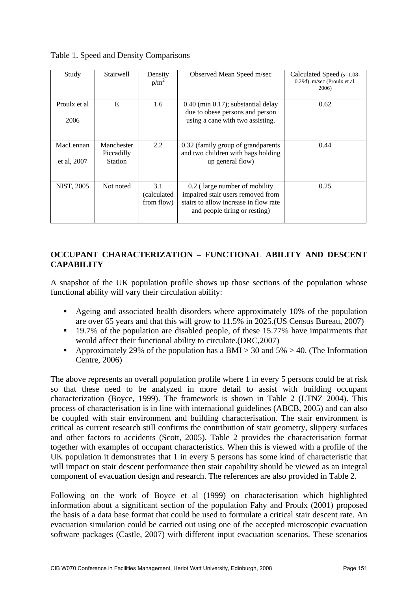Table 1. Speed and Density Comparisons

| Study                    | Stairwell                                  | Density<br>$p/m^2$               | Observed Mean Speed m/sec                                                                                                                    | Calculated Speed (s=1.08-<br>0.29d) m/sec (Proulx et al.<br>2006) |
|--------------------------|--------------------------------------------|----------------------------------|----------------------------------------------------------------------------------------------------------------------------------------------|-------------------------------------------------------------------|
| Proulx et al<br>2006     | E                                          | 1.6                              | $0.40$ (min $0.17$ ); substantial delay<br>due to obese persons and person<br>using a cane with two assisting.                               | 0.62                                                              |
| MacLennan<br>et al, 2007 | Manchester<br>Piccadilly<br><b>Station</b> | 2.2                              | 0.32 (family group of grandparents)<br>and two children with bags holding<br>up general flow)                                                | 0.44                                                              |
| NIST, 2005               | Not noted                                  | 3.1<br>(calculated<br>from flow) | 0.2 (large number of mobility<br>impaired stair users removed from<br>stairs to allow increase in flow rate<br>and people tiring or resting) | 0.25                                                              |

## **OCCUPANT CHARACTERIZATION – FUNCTIONAL ABILITY AND DESCENT CAPABILITY**

A snapshot of the UK population profile shows up those sections of the population whose functional ability will vary their circulation ability:

- Ageing and associated health disorders where approximately 10% of the population are over 65 years and that this will grow to 11.5% in 2025.(US Census Bureau, 2007)
- <sup>19.7%</sup> of the population are disabled people, of these 15.77% have impairments that would affect their functional ability to circulate.(DRC,2007)
- Approximately 29% of the population has a BMI > 30 and  $5\%$  > 40. (The Information Centre, 2006)

The above represents an overall population profile where 1 in every 5 persons could be at risk so that these need to be analyzed in more detail to assist with building occupant characterization (Boyce, 1999). The framework is shown in Table 2 (LTNZ 2004). This process of characterisation is in line with international guidelines (ABCB, 2005) and can also be coupled with stair environment and building characterisation. The stair environment is critical as current research still confirms the contribution of stair geometry, slippery surfaces and other factors to accidents (Scott, 2005). Table 2 provides the characterisation format together with examples of occupant characteristics. When this is viewed with a profile of the UK population it demonstrates that 1 in every 5 persons has some kind of characteristic that will impact on stair descent performance then stair capability should be viewed as an integral component of evacuation design and research. The references are also provided in Table 2.

Following on the work of Boyce et al (1999) on characterisation which highlighted information about a significant section of the population Fahy and Proulx (2001) proposed the basis of a data base format that could be used to formulate a critical stair descent rate. An evacuation simulation could be carried out using one of the accepted microscopic evacuation software packages (Castle, 2007) with different input evacuation scenarios. These scenarios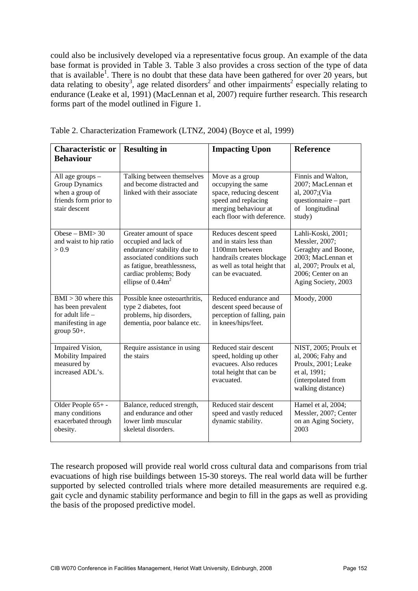could also be inclusively developed via a representative focus group. An example of the data base format is provided in Table 3. Table 3 also provides a cross section of the type of data that is available<sup>1</sup>. There is no doubt that these data have been gathered for over 20 years, but data relating to obesity<sup>3</sup>, age related disorders<sup>2</sup> and other impairments<sup>2</sup> especially relating to endurance (Leake et al, 1991) (MacLennan et al, 2007) require further research. This research forms part of the model outlined in Figure 1.

| <b>Characteristic or</b><br><b>Behaviour</b>                                                             | <b>Resulting in</b>                                                                                                                                                                          | <b>Impacting Upon</b>                                                                                                                                 | <b>Reference</b>                                                                                                                                          |
|----------------------------------------------------------------------------------------------------------|----------------------------------------------------------------------------------------------------------------------------------------------------------------------------------------------|-------------------------------------------------------------------------------------------------------------------------------------------------------|-----------------------------------------------------------------------------------------------------------------------------------------------------------|
| All age groups -<br><b>Group Dynamics</b><br>when a group of<br>friends form prior to<br>stair descent   | Talking between themselves<br>and become distracted and<br>linked with their associate                                                                                                       | Move as a group<br>occupying the same<br>space, reducing descent<br>speed and replacing<br>merging behaviour at<br>each floor with deference.         | Finnis and Walton,<br>2007; MacLennan et<br>al, 2007; (Via<br>questionnaire - part<br>of longitudinal<br>study)                                           |
| Obese – BMI $>$ 30<br>and waist to hip ratio<br>> 0.9                                                    | Greater amount of space<br>occupied and lack of<br>endurance/ stability due to<br>associated conditions such<br>as fatigue, breathlessness,<br>cardiac problems; Body<br>ellipse of $0.44m2$ | Reduces descent speed<br>and in stairs less than<br>1100mm between<br>handrails creates blockage<br>as well as total height that<br>can be evacuated. | Lahli-Koski, 2001;<br>Messler, 2007;<br>Geraghty and Boone,<br>2003; MacLennan et<br>al, 2007; Proulx et al,<br>2006; Center on an<br>Aging Society, 2003 |
| $BMI > 30$ where this<br>has been prevalent<br>for adult life $-$<br>manifesting in age<br>group $50+$ . | Possible knee osteoarthritis,<br>type 2 diabetes, foot<br>problems, hip disorders,<br>dementia, poor balance etc.                                                                            | Reduced endurance and<br>descent speed because of<br>perception of falling, pain<br>in knees/hips/feet.                                               | Moody, 2000                                                                                                                                               |
| Impaired Vision,<br>Mobility Impaired<br>measured by<br>increased ADL's.                                 | Require assistance in using<br>the stairs                                                                                                                                                    | Reduced stair descent<br>speed, holding up other<br>evacuees. Also reduces<br>total height that can be<br>evacuated.                                  | NIST, 2005; Proulx et<br>al, 2006; Fahy and<br>Proulx, 2001; Leake<br>et al, 1991;<br>(interpolated from<br>walking distance)                             |
| Older People 65+-<br>many conditions<br>exacerbated through<br>obesity.                                  | Balance, reduced strength,<br>and endurance and other<br>lower limb muscular<br>skeletal disorders.                                                                                          | Reduced stair descent<br>speed and vastly reduced<br>dynamic stability.                                                                               | Hamel et al, 2004;<br>Messler, 2007; Center<br>on an Aging Society,<br>2003                                                                               |

Table 2. Characterization Framework (LTNZ, 2004) (Boyce et al, 1999)

The research proposed will provide real world cross cultural data and comparisons from trial evacuations of high rise buildings between 15-30 storeys. The real world data will be further supported by selected controlled trials where more detailed measurements are required e.g. gait cycle and dynamic stability performance and begin to fill in the gaps as well as providing the basis of the proposed predictive model.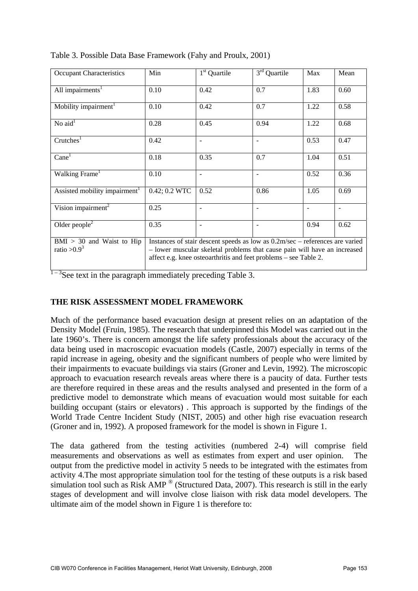| Occupant Characteristics                      | Min                                                                                                                                                                                                                           | 1 <sup>st</sup> Quartile | 3 <sup>rd</sup> Quartile | Max            | Mean           |
|-----------------------------------------------|-------------------------------------------------------------------------------------------------------------------------------------------------------------------------------------------------------------------------------|--------------------------|--------------------------|----------------|----------------|
| All impairments <sup>1</sup>                  | 0.10                                                                                                                                                                                                                          | 0.42                     | 0.7                      | 1.83           | 0.60           |
| Mobility impairment <sup>1</sup>              | 0.10                                                                                                                                                                                                                          | 0.42                     | 0.7                      | 1.22           | 0.58           |
| No $aid1$                                     | 0.28                                                                                                                                                                                                                          | 0.45                     | 0.94                     | 1.22           | 0.68           |
| Crutehes <sup>1</sup>                         | 0.42                                                                                                                                                                                                                          |                          |                          | 0.53           | 0.47           |
| Cane <sup>1</sup>                             | 0.18                                                                                                                                                                                                                          | 0.35                     | 0.7                      | 1.04           | 0.51           |
| Walking Frame <sup>1</sup>                    | 0.10                                                                                                                                                                                                                          | $\overline{a}$           |                          | 0.52           | 0.36           |
| Assisted mobility impairment <sup>1</sup>     | 0.42; 0.2 WTC                                                                                                                                                                                                                 | 0.52                     | 0.86                     | 1.05           | 0.69           |
| Vision impairment <sup>2</sup>                | 0.25                                                                                                                                                                                                                          |                          |                          | $\blacksquare$ | $\blacksquare$ |
| Older people <sup>2</sup>                     | 0.35                                                                                                                                                                                                                          | $\overline{a}$           |                          | 0.94           | 0.62           |
| $BMI > 30$ and Waist to Hip<br>ratio $>0.9^3$ | Instances of stair descent speeds as low as 0.2m/sec – references are varied<br>- lower muscular skeletal problems that cause pain will have an increased<br>affect e.g. knee osteoarthritis and feet problems – see Table 2. |                          |                          |                |                |



 $1 - 3$ See text in the paragraph immediately preceding Table 3.

### **THE RISK ASSESSMENT MODEL FRAMEWORK**

Much of the performance based evacuation design at present relies on an adaptation of the Density Model (Fruin, 1985). The research that underpinned this Model was carried out in the late 1960's. There is concern amongst the life safety professionals about the accuracy of the data being used in macroscopic evacuation models (Castle, 2007) especially in terms of the rapid increase in ageing, obesity and the significant numbers of people who were limited by their impairments to evacuate buildings via stairs (Groner and Levin, 1992). The microscopic approach to evacuation research reveals areas where there is a paucity of data. Further tests are therefore required in these areas and the results analysed and presented in the form of a predictive model to demonstrate which means of evacuation would most suitable for each building occupant (stairs or elevators) . This approach is supported by the findings of the World Trade Centre Incident Study (NIST, 2005) and other high rise evacuation research (Groner and in, 1992). A proposed framework for the model is shown in Figure 1.

The data gathered from the testing activities (numbered 2-4) will comprise field measurements and observations as well as estimates from expert and user opinion. The output from the predictive model in activity 5 needs to be integrated with the estimates from activity 4.The most appropriate simulation tool for the testing of these outputs is a risk based simulation tool such as Risk AMP <sup>®</sup> (Structured Data, 2007). This research is still in the early stages of development and will involve close liaison with risk data model developers. The ultimate aim of the model shown in Figure 1 is therefore to: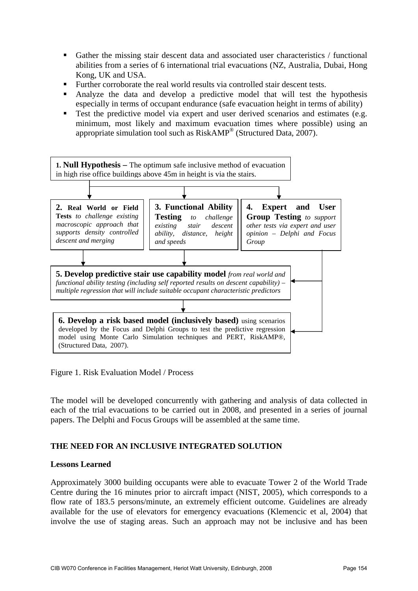- Gather the missing stair descent data and associated user characteristics / functional abilities from a series of 6 international trial evacuations (NZ, Australia, Dubai, Hong Kong, UK and USA.
- Further corroborate the real world results via controlled stair descent tests.
- Analyze the data and develop a predictive model that will test the hypothesis especially in terms of occupant endurance (safe evacuation height in terms of ability)
- Test the predictive model via expert and user derived scenarios and estimates (e.g. minimum, most likely and maximum evacuation times where possible) using an appropriate simulation tool such as RiskAMP® (Structured Data, 2007).



Figure 1. Risk Evaluation Model / Process

The model will be developed concurrently with gathering and analysis of data collected in each of the trial evacuations to be carried out in 2008, and presented in a series of journal papers. The Delphi and Focus Groups will be assembled at the same time.

### **THE NEED FOR AN INCLUSIVE INTEGRATED SOLUTION**

### **Lessons Learned**

Approximately 3000 building occupants were able to evacuate Tower 2 of the World Trade Centre during the 16 minutes prior to aircraft impact (NIST, 2005), which corresponds to a flow rate of 183.5 persons/minute, an extremely efficient outcome. Guidelines are already available for the use of elevators for emergency evacuations (Klemencic et al, 2004) that involve the use of staging areas. Such an approach may not be inclusive and has been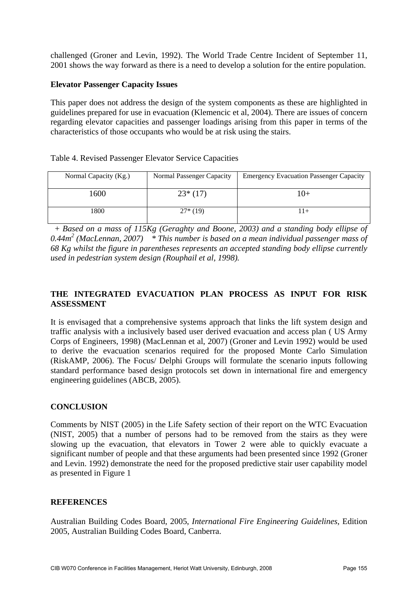challenged (Groner and Levin, 1992). The World Trade Centre Incident of September 11, 2001 shows the way forward as there is a need to develop a solution for the entire population.

### **Elevator Passenger Capacity Issues**

This paper does not address the design of the system components as these are highlighted in guidelines prepared for use in evacuation (Klemencic et al, 2004). There are issues of concern regarding elevator capacities and passenger loadings arising from this paper in terms of the characteristics of those occupants who would be at risk using the stairs.

### Table 4. Revised Passenger Elevator Service Capacities

| Normal Capacity (Kg.) | Normal Passenger Capacity | <b>Emergency Evacuation Passenger Capacity</b> |
|-----------------------|---------------------------|------------------------------------------------|
| 1600                  | $23*(17)$                 | 10+                                            |
| 1800                  | $27*(19)$                 | $+$                                            |

 + *Based on a mass of 115Kg (Geraghty and Boone, 2003) and a standing body ellipse of*  0.44m<sup>2</sup> (MacLennan, 2007) \* This number is based on a mean individual passenger mass of *68 Kg whilst the figure in parentheses represents an accepted standing body ellipse currently used in pedestrian system design (Rouphail et al, 1998).* 

## **THE INTEGRATED EVACUATION PLAN PROCESS AS INPUT FOR RISK ASSESSMENT**

It is envisaged that a comprehensive systems approach that links the lift system design and traffic analysis with a inclusively based user derived evacuation and access plan ( US Army Corps of Engineers, 1998) (MacLennan et al, 2007) (Groner and Levin 1992) would be used to derive the evacuation scenarios required for the proposed Monte Carlo Simulation (RiskAMP, 2006). The Focus/ Delphi Groups will formulate the scenario inputs following standard performance based design protocols set down in international fire and emergency engineering guidelines (ABCB, 2005).

### **CONCLUSION**

Comments by NIST (2005) in the Life Safety section of their report on the WTC Evacuation (NIST, 2005) that a number of persons had to be removed from the stairs as they were slowing up the evacuation, that elevators in Tower 2 were able to quickly evacuate a significant number of people and that these arguments had been presented since 1992 (Groner and Levin. 1992) demonstrate the need for the proposed predictive stair user capability model as presented in Figure 1

### **REFERENCES**

Australian Building Codes Board, 2005, *International Fire Engineering Guidelines*, Edition 2005, Australian Building Codes Board, Canberra.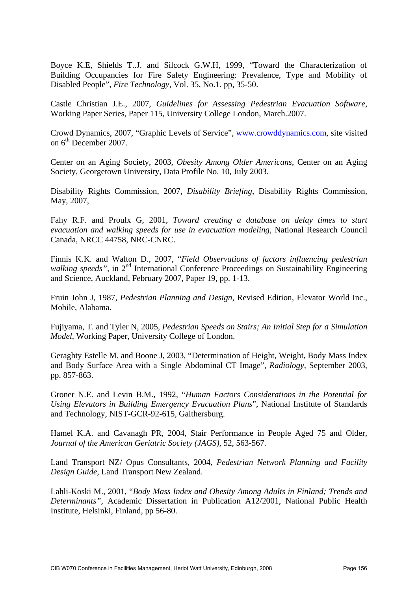Boyce K.E, Shields T..J. and Silcock G.W.H, 1999, "Toward the Characterization of Building Occupancies for Fire Safety Engineering: Prevalence, Type and Mobility of Disabled People", *Fire Technology,* Vol. 35, No.1. pp, 35-50.

Castle Christian J.E., 2007, *Guidelines for Assessing Pedestrian Evacuation Software*, Working Paper Series, Paper 115, University College London, March.2007.

Crowd Dynamics, 2007, "Graphic Levels of Service", [www.crowddynamics.com](http://www.crowddynamics.com/), site visited on  $6<sup>th</sup>$  December 2007.

Center on an Aging Society, 2003, *Obesity Among Older Americans*, Center on an Aging Society, Georgetown University, Data Profile No. 10, July 2003.

Disability Rights Commission, 2007, *Disability Briefing*, Disability Rights Commission, May, 2007,

Fahy R.F. and Proulx G, 2001, *Toward creating a database on delay times to start evacuation and walking speeds for use in evacuation modeling*, National Research Council Canada, NRCC 44758, NRC-CNRC.

Finnis K.K. and Walton D., 2007, "*Field Observations of factors influencing pedestrian*  walking speeds", in 2<sup>nd</sup> International Conference Proceedings on Sustainability Engineering and Science, Auckland, February 2007, Paper 19, pp. 1-13.

Fruin John J, 1987, *Pedestrian Planning and Design*, Revised Edition, Elevator World Inc., Mobile, Alabama.

Fujiyama, T. and Tyler N, 2005, *Pedestrian Speeds on Stairs; An Initial Step for a Simulation Model*, Working Paper, University College of London.

Geraghty Estelle M. and Boone J, 2003, "Determination of Height, Weight, Body Mass Index and Body Surface Area with a Single Abdominal CT Image", *Radiology*, September 2003, pp. 857-863.

Groner N.E. and Levin B.M., 1992, "*Human Factors Considerations in the Potential for Using Elevators in Building Emergency Evacuation Plans*", National Institute of Standards and Technology, NIST-GCR-92-615, Gaithersburg.

Hamel K.A. and Cavanagh PR, 2004, Stair Performance in People Aged 75 and Older, *Journal of the American Geriatric Society (JAGS)*, 52, 563-567.

Land Transport NZ/ Opus Consultants, 2004, *Pedestrian Network Planning and Facility Design Guide*, Land Transport New Zealand.

Lahli-Koski M., 2001, "*Body Mass Index and Obesity Among Adults in Finland; Trends and Determinants",* Academic Dissertation in Publication A12/2001, National Public Health Institute, Helsinki, Finland, pp 56-80.